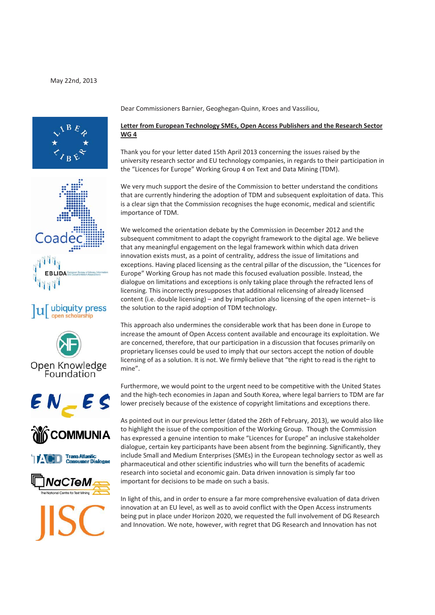



## ubiquity press













Dear Commissioners Barnier, Geoghegan‐Quinn, Kroes and Vassiliou,

## **Letter from European Technology SMEs, Open Access Publishers and the Research Sector WG 4**

Thank you for your letter dated 15th April 2013 concerning the issues raised by the university research sector and EU technology companies, in regards to their participation in the "Licences for Europe" Working Group 4 on Text and Data Mining (TDM).

We very much support the desire of the Commission to better understand the conditions that are currently hindering the adoption of TDM and subsequent exploitation of data. This is a clear sign that the Commission recognises the huge economic, medical and scientific importance of TDM.

We welcomed the orientation debate by the Commission in December 2012 and the subsequent commitment to adapt the copyright framework to the digital age. We believe that any meaningful engagement on the legal framework within which data driven innovation exists must, as a point of centrality, address the issue of limitations and exceptions. Having placed licensing as the central pillar of the discussion, the "Licences for Europe" Working Group has not made this focused evaluation possible. Instead, the dialogue on limitations and exceptions is only taking place through the refracted lens of licensing. This incorrectly presupposes that additional relicensing of already licensed content (i.e. double licensing) – and by implication also licensing of the open internet– is the solution to the rapid adoption of TDM technology.

This approach also undermines the considerable work that has been done in Europe to increase the amount of Open Access content available and encourage its exploitation. We are concerned, therefore, that our participation in a discussion that focuses primarily on proprietary licenses could be used to imply that our sectors accept the notion of double licensing of as a solution. It is not. We firmly believe that "the right to read is the right to mine".

Furthermore, we would point to the urgent need to be competitive with the United States and the high-tech economies in Japan and South Korea, where legal barriers to TDM are far lower precisely because of the existence of copyright limitations and exceptions there.

As pointed out in our previous letter (dated the 26th of February, 2013), we would also like to highlight the issue of the composition of the Working Group. Though the Commission has expressed a genuine intention to make "Licences for Europe" an inclusive stakeholder dialogue, certain key participants have been absent from the beginning. Significantly, they include Small and Medium Enterprises (SMEs) in the European technology sector as well as pharmaceutical and other scientific industries who will turn the benefits of academic research into societal and economic gain. Data driven innovation is simply far too important for decisions to be made on such a basis.

In light of this, and in order to ensure a far more comprehensive evaluation of data driven innovation at an EU level, as well as to avoid conflict with the Open Access instruments being put in place under Horizon 2020, we requested the full involvement of DG Research and Innovation. We note, however, with regret that DG Research and Innovation has not